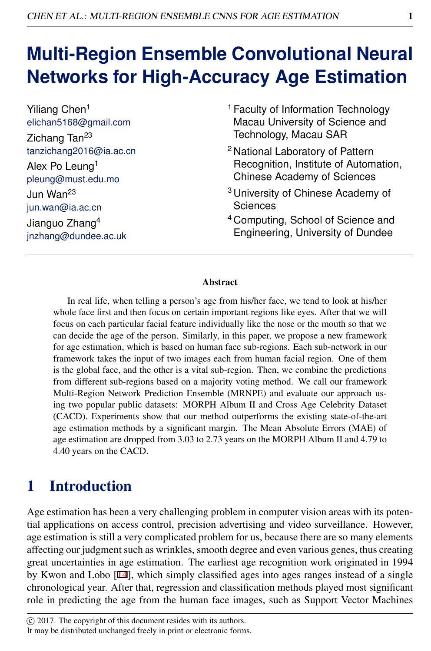# **Multi-Region Ensemble Convolutional Neural Networks for High-Accuracy Age Estimation**

Yiliang Chen<sup>1</sup> elichan5168@gmail.com Zichang Tan<sup>23</sup> tanzichang2016@ia.ac.cn Alex Po Leung<sup>1</sup> pleung@must.edu.mo Jun Wan<sup>23</sup> jun.wan@ia.ac.cn Jianguo Zhang<sup>4</sup> jnzhang@dundee.ac.uk

- <sup>1</sup> Faculty of Information Technology Macau University of Science and Technology, Macau SAR
- <sup>2</sup> National Laboratory of Pattern Recognition, Institute of Automation, Chinese Academy of Sciences
- <sup>3</sup> University of Chinese Academy of Sciences
- <sup>4</sup> Computing, School of Science and Engineering, University of Dundee

#### Abstract

In real life, when telling a person's age from his/her face, we tend to look at his/her whole face first and then focus on certain important regions like eyes. After that we will focus on each particular facial feature individually like the nose or the mouth so that we can decide the age of the person. Similarly, in this paper, we propose a new framework for age estimation, which is based on human face sub-regions. Each sub-network in our framework takes the input of two images each from human facial region. One of them is the global face, and the other is a vital sub-region. Then, we combine the predictions from different sub-regions based on a majority voting method. We call our framework Multi-Region Network Prediction Ensemble (MRNPE) and evaluate our approach using two popular public datasets: MORPH Album II and Cross Age Celebrity Dataset (CACD). Experiments show that our method outperforms the existing state-of-the-art age estimation methods by a significant margin. The Mean Absolute Errors (MAE) of age estimation are dropped from 3.03 to 2.73 years on the MORPH Album II and 4.79 to 4.40 years on the CACD.

## 1 Introduction

Age estimation has been a very challenging problem in computer vision areas with its potential applications on access control, precision advertising and video surveillance. However, age estimation is still a very complicated problem for us, because there are so many elements affecting our judgment such as wrinkles, smooth degree and even various genes, thus creating great uncertainties in age estimation. The earliest age recognition work originated in 1994 by Kwon and Lobo [14], which simply classified ages into ages ranges instead of a single chronological year. After that, regression and classification methods played most significant role in predicting the age from the human face images, such as Support Vector Machines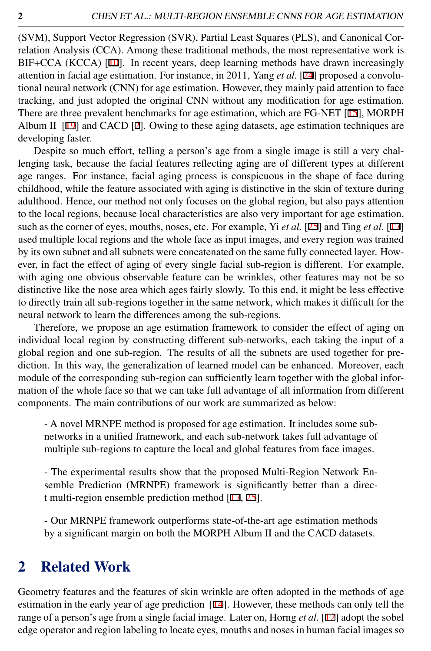(SVM), Support Vector Regression (SVR), Partial Least Squares (PLS), and Canonical Correlation Analysis (CCA). Among these traditional methods, the most representative work is BIF+CCA (KCCA) [10]. In recent years, deep learning methods have drawn increasingly attention in facial age estimation. For instance, in 2011, Yang *et al.* [24] proposed a convolutional neural network (CNN) for age estimation. However, they mainly paid attention to face tracking, and just adopted the original CNN without any modification for age estimation. There are three prevalent benchmarks for age estimation, which are FG-NET [15], MORPH Album II  $[19]$  and CACD  $[2]$ . Owing to these aging datasets, age estimation techniques are developing faster.

Despite so much effort, telling a person's age from a single image is still a very challenging task, because the facial features reflecting aging are of different types at different age ranges. For instance, facial aging process is conspicuous in the shape of face during childhood, while the feature associated with aging is distinctive in the skin of texture during adulthood. Hence, our method not only focuses on the global region, but also pays attention to the local regions, because local characteristics are also very important for age estimation, such as the corner of eyes, mouths, noses, etc. For example, Yi *et al.* [25] and Ting *et al.* [17] used multiple local regions and the whole face as input images, and every region was trained by its own subnet and all subnets were concatenated on the same fully connected layer. However, in fact the effect of aging of every single facial sub-region is different. For example, with aging one obvious observable feature can be wrinkles, other features may not be so distinctive like the nose area which ages fairly slowly. To this end, it might be less effective to directly train all sub-regions together in the same network, which makes it difficult for the neural network to learn the differences among the sub-regions.

Therefore, we propose an age estimation framework to consider the effect of aging on individual local region by constructing different sub-networks, each taking the input of a global region and one sub-region. The results of all the subnets are used together for prediction. In this way, the generalization of learned model can be enhanced. Moreover, each module of the corresponding sub-region can sufficiently learn together with the global information of the whole face so that we can take full advantage of all information from different components. The main contributions of our work are summarized as below:

- A novel MRNPE method is proposed for age estimation. It includes some subnetworks in a unified framework, and each sub-network takes full advantage of multiple sub-regions to capture the local and global features from face images.

- The experimental results show that the proposed Multi-Region Network Ensemble Prediction (MRNPE) framework is significantly better than a direct multi-region ensemble prediction method [17, 25].

- Our MRNPE framework outperforms state-of-the-art age estimation methods by a significant margin on both the MORPH Album II and the CACD datasets.

#### 2 Related Work

Geometry features and the features of skin wrinkle are often adopted in the methods of age estimation in the early year of age prediction [14]. However, these methods can only tell the range of a person's age from a single facial image. Later on, Horng *et al.* [12] adopt the sobel edge operator and region labeling to locate eyes, mouths and noses in human facial images so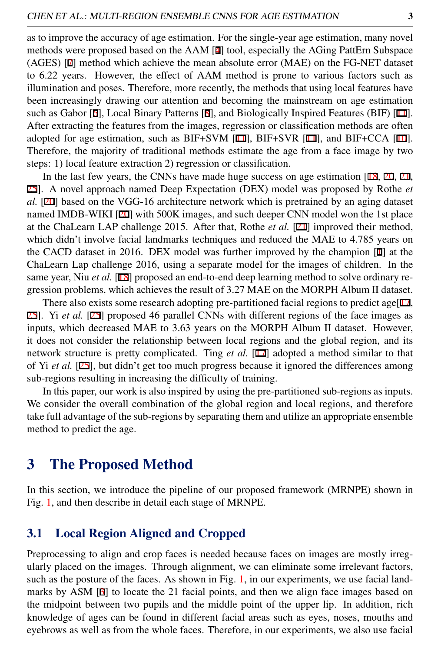as to improve the accuracy of age estimation. For the single-year age estimation, many novel methods were proposed based on the AAM [4] tool, especially the AGing PattErn Subspace (AGES) [7] method which achieve the mean absolute error (MAE) on the FG-NET dataset to 6.22 years. However, the effect of AAM method is prone to various factors such as illumination and poses. Therefore, more recently, the methods that using local features have been increasingly drawing our attention and becoming the mainstream on age estimation such as Gabor [6], Local Binary Patterns [8], and Biologically Inspired Features (BIF) [11]. After extracting the features from the images, regression or classification methods are often adopted for age estimation, such as BIF+SVM  $[11]$ , BIF+SVR  $[11]$ , and BIF+CCA  $[10]$ . Therefore, the majority of traditional methods estimate the age from a face image by two steps: 1) local feature extraction 2) regression or classification.

In the last few years, the CNNs have made huge success on age estimation [18, 20, 21, 25]. A novel approach named Deep Expectation (DEX) model was proposed by Rothe *et al.* [20] based on the VGG-16 architecture network which is pretrained by an aging dataset named IMDB-WIKI [20] with 500K images, and such deeper CNN model won the 1st place at the ChaLearn LAP challenge 2015. After that, Rothe *et al.* [21] improved their method, which didn't involve facial landmarks techniques and reduced the MAE to 4.785 years on the CACD dataset in 2016. DEX model was further improved by the champion [1] at the ChaLearn Lap challenge 2016, using a separate model for the images of children. In the same year, Niu *et al.* [18] proposed an end-to-end deep learning method to solve ordinary regression problems, which achieves the result of 3.27 MAE on the MORPH Album II dataset.

There also exists some research adopting pre-partitioned facial regions to predict age[ $17$ , 25]. Yi *et al.* [25] proposed 46 parallel CNNs with different regions of the face images as inputs, which decreased MAE to 3.63 years on the MORPH Album II dataset. However, it does not consider the relationship between local regions and the global region, and its network structure is pretty complicated. Ting *et al.* [17] adopted a method similar to that of Yi *et al.* [25], but didn't get too much progress because it ignored the differences among sub-regions resulting in increasing the difficulty of training.

In this paper, our work is also inspired by using the pre-partitioned sub-regions as inputs. We consider the overall combination of the global region and local regions, and therefore take full advantage of the sub-regions by separating them and utilize an appropriate ensemble method to predict the age.

## 3 The Proposed Method

In this section, we introduce the pipeline of our proposed framework (MRNPE) shown in Fig. [1,](#page-3-0) and then describe in detail each stage of MRNPE.

#### 3.1 Local Region Aligned and Cropped

Preprocessing to align and crop faces is needed because faces on images are mostly irregularly placed on the images. Through alignment, we can eliminate some irrelevant factors, such as the posture of the faces. As shown in Fig. [1,](#page-3-0) in our experiments, we use facial landmarks by ASM [3] to locate the 21 facial points, and then we align face images based on the midpoint between two pupils and the middle point of the upper lip. In addition, rich knowledge of ages can be found in different facial areas such as eyes, noses, mouths and eyebrows as well as from the whole faces. Therefore, in our experiments, we also use facial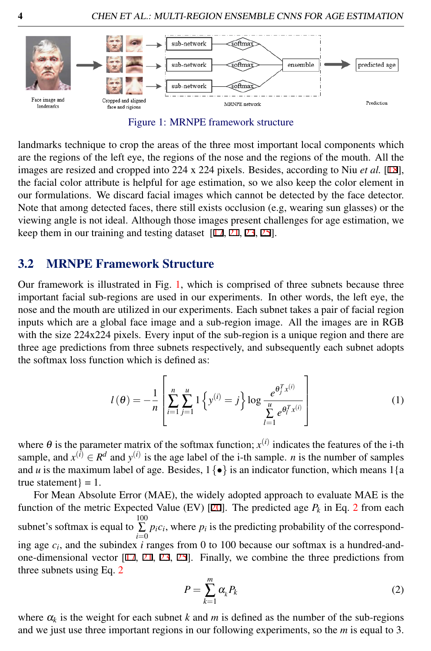

<span id="page-3-0"></span>Figure 1: MRNPE framework structure

landmarks technique to crop the areas of the three most important local components which are the regions of the left eye, the regions of the nose and the regions of the mouth. All the images are resized and cropped into 224 x 224 pixels. Besides, according to Niu *et al.* [18], the facial color attribute is helpful for age estimation, so we also keep the color element in our formulations. We discard facial images which cannot be detected by the face detector. Note that among detected faces, there still exists occlusion (e.g, wearing sun glasses) or the viewing angle is not ideal. Although those images present challenges for age estimation, we keep them in our training and testing dataset [17, 21, 23, 25].

#### 3.2 MRNPE Framework Structure

Our framework is illustrated in Fig. [1,](#page-3-0) which is comprised of three subnets because three important facial sub-regions are used in our experiments. In other words, the left eye, the nose and the mouth are utilized in our experiments. Each subnet takes a pair of facial region inputs which are a global face image and a sub-region image. All the images are in RGB with the size 224x224 pixels. Every input of the sub-region is a unique region and there are three age predictions from three subnets respectively, and subsequently each subnet adopts the softmax loss function which is defined as:

$$
l(\theta) = -\frac{1}{n} \left[ \sum_{i=1}^{n} \sum_{j=1}^{u} 1 \left\{ y^{(i)} = j \right\} \log \frac{e^{\theta_j^T x^{(i)}}}{\sum_{l=1}^{u} e^{\theta_l^T x^{(i)}}} \right]
$$
(1)

where  $\theta$  is the parameter matrix of the softmax function;  $x^{(i)}$  indicates the features of the i-th sample, and  $x^{(i)} \in \mathbb{R}^d$  and  $y^{(i)}$  is the age label of the i-th sample. *n* is the number of samples and *u* is the maximum label of age. Besides,  $1\{\bullet\}$  is an indicator function, which means  $1\{\text{a}$ true statement $} = 1$ .

For Mean Absolute Error (MAE), the widely adopted approach to evaluate MAE is the function of the metric Expected Value (EV) [20]. The predicted age *P<sup>k</sup>* in Eq. [2](#page-3-1) from each subnet's softmax is equal to  $\sum^{100}$  $\sum p_i c_i$ , where  $p_i$  is the predicting probability of the corresponding age  $c_i$ , and the subindex *i* ranges from 0 to 100 because our softmax is a hundred-andone-dimensional vector [17, 21, 23, 25]. Finally, we combine the three predictions from three subnets using Eq. [2](#page-3-1)

<span id="page-3-1"></span>
$$
P = \sum_{k=1}^{m} \alpha_k P_k \tag{2}
$$

where  $\alpha_k$  is the weight for each subnet *k* and *m* is defined as the number of the sub-regions and we just use three important regions in our following experiments, so the *m* is equal to 3.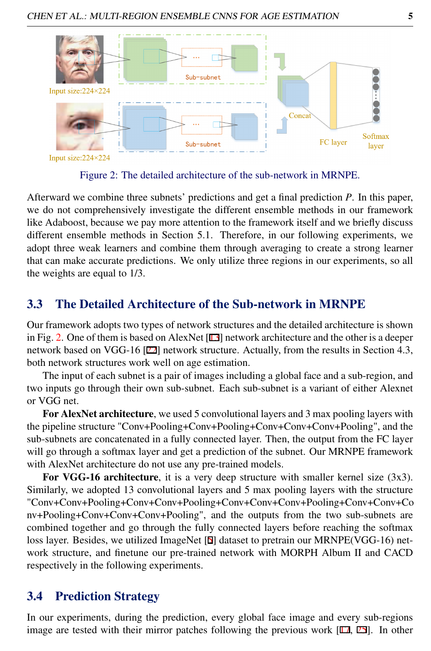

<span id="page-4-0"></span>Figure 2: The detailed architecture of the sub-network in MRNPE.

Afterward we combine three subnets' predictions and get a final prediction *P*. In this paper, we do not comprehensively investigate the different ensemble methods in our framework like Adaboost, because we pay more attention to the framework itself and we briefly discuss different ensemble methods in Section 5.1. Therefore, in our following experiments, we adopt three weak learners and combine them through averaging to create a strong learner that can make accurate predictions. We only utilize three regions in our experiments, so all the weights are equal to 1/3.

#### 3.3 The Detailed Architecture of the Sub-network in MRNPE

Our framework adopts two types of network structures and the detailed architecture is shown in Fig. [2.](#page-4-0) One of them is based on AlexNet [13] network architecture and the other is a deeper network based on VGG-16 [22] network structure. Actually, from the results in Section 4.3, both network structures work well on age estimation.

The input of each subnet is a pair of images including a global face and a sub-region, and two inputs go through their own sub-subnet. Each sub-subnet is a variant of either Alexnet or VGG net.

For AlexNet architecture, we used 5 convolutional layers and 3 max pooling layers with the pipeline structure "Conv+Pooling+Conv+Pooling+Conv+Conv+Conv+Pooling", and the sub-subnets are concatenated in a fully connected layer. Then, the output from the FC layer will go through a softmax layer and get a prediction of the subnet. Our MRNPE framework with AlexNet architecture do not use any pre-trained models.

For VGG-16 architecture, it is a very deep structure with smaller kernel size (3x3). Similarly, we adopted 13 convolutional layers and 5 max pooling layers with the structure "Conv+Conv+Pooling+Conv+Conv+Pooling+Conv+Conv+Conv+Pooling+Conv+Conv+Co nv+Pooling+Conv+Conv+Conv+Pooling", and the outputs from the two sub-subnets are combined together and go through the fully connected layers before reaching the softmax loss layer. Besides, we utilized ImageNet [5] dataset to pretrain our MRNPE(VGG-16) network structure, and finetune our pre-trained network with MORPH Album II and CACD respectively in the following experiments.

#### 3.4 Prediction Strategy

In our experiments, during the prediction, every global face image and every sub-regions image are tested with their mirror patches following the previous work [17, 25]. In other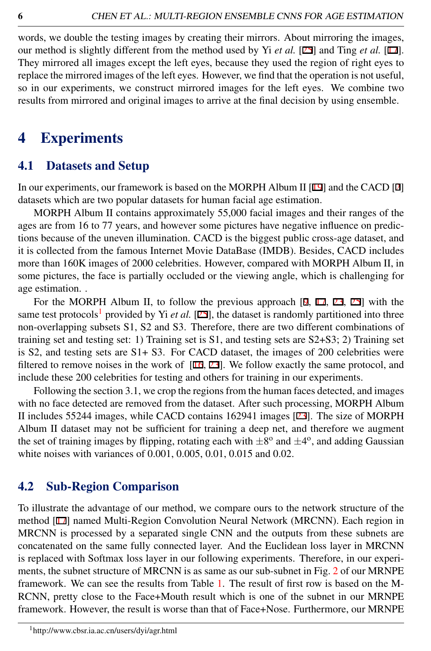words, we double the testing images by creating their mirrors. About mirroring the images, our method is slightly different from the method used by Yi *et al.* [25] and Ting *et al.* [17]. They mirrored all images except the left eyes, because they used the region of right eyes to replace the mirrored images of the left eyes. However, we find that the operation is not useful, so in our experiments, we construct mirrored images for the left eyes. We combine two results from mirrored and original images to arrive at the final decision by using ensemble.

## 4 Experiments

#### 4.1 Datasets and Setup

In our experiments, our framework is based on the MORPH Album II [19] and the CACD [2] datasets which are two popular datasets for human facial age estimation.

MORPH Album II contains approximately 55,000 facial images and their ranges of the ages are from 16 to 77 years, and however some pictures have negative influence on predictions because of the uneven illumination. CACD is the biggest public cross-age dataset, and it is collected from the famous Internet Movie DataBase (IMDB). Besides, CACD includes more than 160K images of 2000 celebrities. However, compared with MORPH Album II, in some pictures, the face is partially occluded or the viewing angle, which is challenging for age estimation. .

For the MORPH Album II, to follow the previous approach [9, 17, 23, 25] with the same test protocols<sup>[1](#page-5-0)</sup> provided by Yi *et al.* [25], the dataset is randomly partitioned into three non-overlapping subsets S1, S2 and S3. Therefore, there are two different combinations of training set and testing set: 1) Training set is S1, and testing sets are S2+S3; 2) Training set is S2, and testing sets are S1+ S3. For CACD dataset, the images of 200 celebrities were filtered to remove noises in the work of [16, 23]. We follow exactly the same protocol, and include these 200 celebrities for testing and others for training in our experiments.

Following the section 3.1, we crop the regions from the human faces detected, and images with no face detected are removed from the dataset. After such processing, MORPH Album II includes 55244 images, while CACD contains 162941 images [23]. The size of MORPH Album II dataset may not be sufficient for training a deep net, and therefore we augment the set of training images by flipping, rotating each with  $\pm 8^{\circ}$  and  $\pm 4^{\circ}$ , and adding Gaussian white noises with variances of 0.001, 0.005, 0.01, 0.015 and 0.02.

#### 4.2 Sub-Region Comparison

<span id="page-5-0"></span>To illustrate the advantage of our method, we compare ours to the network structure of the method [17] named Multi-Region Convolution Neural Network (MRCNN). Each region in MRCNN is processed by a separated single CNN and the outputs from these subnets are concatenated on the same fully connected layer. And the Euclidean loss layer in MRCNN is replaced with Softmax loss layer in our following experiments. Therefore, in our experiments, the subnet structure of MRCNN is as same as our sub-subnet in Fig. [2](#page-4-0) of our MRNPE framework. We can see the results from Table [1.](#page-6-0) The result of first row is based on the M-RCNN, pretty close to the Face+Mouth result which is one of the subnet in our MRNPE framework. However, the result is worse than that of Face+Nose. Furthermore, our MRNPE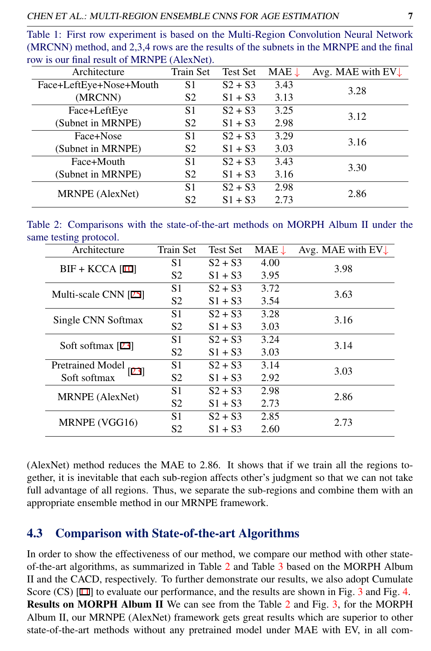<span id="page-6-0"></span>Table 1: First row experiment is based on the Multi-Region Convolution Neural Network (MRCNN) method, and 2,3,4 rows are the results of the subnets in the MRNPE and the final row is our final result of MRNPE (AlexNet).

| Architecture            | Train Set      | <b>Test Set</b> | $MAE \downarrow$ | Avg. MAE with $EV_{\downarrow}$ |
|-------------------------|----------------|-----------------|------------------|---------------------------------|
| Face+LeftEye+Nose+Mouth | S <sub>1</sub> | $S2 + S3$       | 3.43             | 3.28                            |
| (MRCNN)                 | S <sub>2</sub> | $S1 + S3$       | 3.13             |                                 |
| Face+LeftEye            | S1             | $S2 + S3$       | 3.25             | 3.12                            |
| (Subnet in MRNPE)       | S <sub>2</sub> | $S1 + S3$       | 2.98             |                                 |
| Face+Nose               | S1             | $S2 + S3$       | 3.29             | 3.16                            |
| (Subnet in MRNPE)       | S <sub>2</sub> | $S1 + S3$       | 3.03             |                                 |
| Face+Mouth              | S1             | $S2 + S3$       | 3.43             | 3.30                            |
| (Subnet in MRNPE)       | S <sub>2</sub> | $S1 + S3$       | 3.16             |                                 |
| <b>MRNPE</b> (AlexNet)  | S1             | $S2 + S3$       | 2.98             | 2.86                            |
|                         | S2             | $S1 + S3$       | 2.73             |                                 |

|                        |  | Table 2: Comparisons with the state-of-the-art methods on MORPH Album II under the |  |  |  |  |
|------------------------|--|------------------------------------------------------------------------------------|--|--|--|--|
| same testing protocol. |  |                                                                                    |  |  |  |  |

<span id="page-6-1"></span>

| Architecture                    | Train Set      | <b>Test Set</b> | $MAE \downarrow$ | Avg. MAE with $EV\downarrow$ |
|---------------------------------|----------------|-----------------|------------------|------------------------------|
| $BIF + KCCA$ [10]               | S1             | $S2 + S3$       | 4.00             | 3.98                         |
|                                 | S <sub>2</sub> | $S1 + S3$       | 3.95             |                              |
| Multi-scale CNN [25]            | S1             | $S2 + S3$       | 3.72             | 3.63                         |
|                                 | S <sub>2</sub> | $S1 + S3$       | 3.54             |                              |
| Single CNN Softmax              | S1             | $S2 + S3$       | 3.28             | 3.16                         |
|                                 | S <sub>2</sub> | $S1 + S3$       | 3.03             |                              |
| Soft softmax [23]               | S1             | $S2 + S3$       | 3.24             | 3.14                         |
|                                 | S <sub>2</sub> | $S1 + S3$       | 3.03             |                              |
| <b>Pretrained Model</b><br>[23] | S <sub>1</sub> | $S2 + S3$       | 3.14             | 3.03                         |
| Soft softmax                    | S <sub>2</sub> | $S1 + S3$       | 2.92             |                              |
| MRNPE (AlexNet)                 | S1             | $S2 + S3$       | 2.98             | 2.86                         |
|                                 | S <sub>2</sub> | $S1 + S3$       | 2.73             |                              |
|                                 | S <sub>1</sub> | $S2 + S3$       | 2.85             | 2.73                         |
| MRNPE (VGG16)                   | S <sub>2</sub> | $S1 + S3$       | 2.60             |                              |

(AlexNet) method reduces the MAE to 2.86. It shows that if we train all the regions together, it is inevitable that each sub-region affects other's judgment so that we can not take full advantage of all regions. Thus, we separate the sub-regions and combine them with an appropriate ensemble method in our MRNPE framework.

#### 4.3 Comparison with State-of-the-art Algorithms

In order to show the effectiveness of our method, we compare our method with other stateof-the-art algorithms, as summarized in Table [2](#page-6-1) and Table [3](#page-8-0) based on the MORPH Album II and the CACD, respectively. To further demonstrate our results, we also adopt Cumulate Score (CS) [11] to evaluate our performance, and the results are shown in Fig. [3](#page-7-0) and Fig. [4.](#page-7-1) Results on MORPH Album II We can see from the Table [2](#page-6-1) and Fig. [3,](#page-7-0) for the MORPH Album II, our MRNPE (AlexNet) framework gets great results which are superior to other state-of-the-art methods without any pretrained model under MAE with EV, in all com-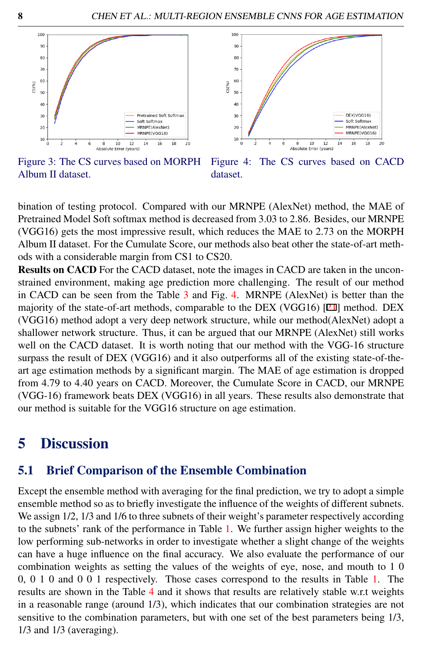

<span id="page-7-1"></span>

<span id="page-7-0"></span>Figure 3: The CS curves based on MORPH Album II dataset. Figure 4: The CS curves based on CACD dataset.

bination of testing protocol. Compared with our MRNPE (AlexNet) method, the MAE of Pretrained Model Soft softmax method is decreased from 3.03 to 2.86. Besides, our MRNPE (VGG16) gets the most impressive result, which reduces the MAE to 2.73 on the MORPH Album II dataset. For the Cumulate Score, our methods also beat other the state-of-art methods with a considerable margin from CS1 to CS20.

Results on CACD For the CACD dataset, note the images in CACD are taken in the unconstrained environment, making age prediction more challenging. The result of our method in CACD can be seen from the Table  $3$  and Fig. [4.](#page-7-1) MRNPE (AlexNet) is better than the majority of the state-of-art methods, comparable to the DEX (VGG16) [21] method. DEX (VGG16) method adopt a very deep network structure, while our method(AlexNet) adopt a shallower network structure. Thus, it can be argued that our MRNPE (AlexNet) still works well on the CACD dataset. It is worth noting that our method with the VGG-16 structure surpass the result of DEX (VGG16) and it also outperforms all of the existing state-of-theart age estimation methods by a significant margin. The MAE of age estimation is dropped from 4.79 to 4.40 years on CACD. Moreover, the Cumulate Score in CACD, our MRNPE (VGG-16) framework beats DEX (VGG16) in all years. These results also demonstrate that our method is suitable for the VGG16 structure on age estimation.

## 5 Discussion

#### 5.1 Brief Comparison of the Ensemble Combination

Except the ensemble method with averaging for the final prediction, we try to adopt a simple ensemble method so as to briefly investigate the influence of the weights of different subnets. We assign  $1/2$ ,  $1/3$  and  $1/6$  to three subnets of their weight's parameter respectively according to the subnets' rank of the performance in Table [1.](#page-6-0) We further assign higher weights to the low performing sub-networks in order to investigate whether a slight change of the weights can have a huge influence on the final accuracy. We also evaluate the performance of our combination weights as setting the values of the weights of eye, nose, and mouth to 1 0 0, 0 1 0 and 0 0 1 respectively. Those cases correspond to the results in Table [1.](#page-6-0) The results are shown in the Table [4](#page-8-1) and it shows that results are relatively stable w.r.t weights in a reasonable range (around 1/3), which indicates that our combination strategies are not sensitive to the combination parameters, but with one set of the best parameters being 1/3, 1/3 and 1/3 (averaging).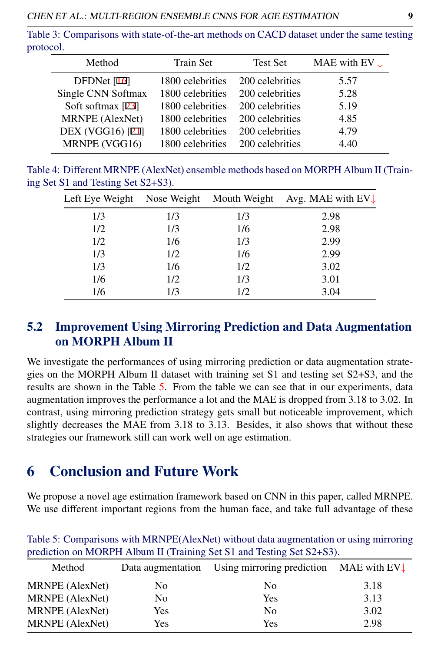Table 3: Comparisons with state-of-the-art methods on CACD dataset under the same testing protocol.

<span id="page-8-0"></span>

| Method              | <b>Train Set</b> | <b>Test Set</b> | MAE with EV $\downarrow$ |
|---------------------|------------------|-----------------|--------------------------|
| DFDNet $[16]$       | 1800 celebrities | 200 celebrities | 5.57                     |
| Single CNN Softmax  | 1800 celebrities | 200 celebrities | 5.28                     |
| Soft softmax $[23]$ | 1800 celebrities | 200 celebrities | 5.19                     |
| MRNPE (AlexNet)     | 1800 celebrities | 200 celebrities | 4.85                     |
| DEX (VGG16) [21]    | 1800 celebrities | 200 celebrities | 4.79                     |
| MRNPE (VGG16)       | 1800 celebrities | 200 celebrities | 4.40                     |

Table 4: Different MRNPE (AlexNet) ensemble methods based on MORPH Album II (Training Set S1 and Testing Set S2+S3).

<span id="page-8-1"></span>

| Left Eye Weight | Nose Weight | Mouth Weight | Avg. MAE with $EV_{\downarrow}$ |
|-----------------|-------------|--------------|---------------------------------|
| 1/3             | 1/3         | 1/3          | 2.98                            |
| 1/2             | 1/3         | 1/6          | 2.98                            |
| 1/2             | 1/6         | 1/3          | 2.99                            |
| 1/3             | 1/2         | 1/6          | 2.99                            |
| 1/3             | 1/6         | 1/2          | 3.02                            |
| 1/6             | 1/2         | 1/3          | 3.01                            |
| 1/6             | 1/3         | 1/2          | 3.04                            |

#### 5.2 Improvement Using Mirroring Prediction and Data Augmentation on MORPH Album II

We investigate the performances of using mirroring prediction or data augmentation strategies on the MORPH Album II dataset with training set S1 and testing set S2+S3, and the results are shown in the Table [5.](#page-8-2) From the table we can see that in our experiments, data augmentation improves the performance a lot and the MAE is dropped from 3.18 to 3.02. In contrast, using mirroring prediction strategy gets small but noticeable improvement, which slightly decreases the MAE from 3.18 to 3.13. Besides, it also shows that without these strategies our framework still can work well on age estimation.

## 6 Conclusion and Future Work

We propose a novel age estimation framework based on CNN in this paper, called MRNPE. We use different important regions from the human face, and take full advantage of these

| Method          |     | Data augmentation Using mirroring prediction MAE with $EV\downarrow$ |      |
|-----------------|-----|----------------------------------------------------------------------|------|
| MRNPE (AlexNet) | No. | No.                                                                  | 3.18 |
| MRNPE (AlexNet) | No. | Yes                                                                  | 3.13 |
| MRNPE (AlexNet) | Yes | No.                                                                  | 3.02 |
| MRNPE (AlexNet) | Yes | Yes                                                                  | 2.98 |

<span id="page-8-2"></span>Table 5: Comparisons with MRNPE(AlexNet) without data augmentation or using mirroring prediction on MORPH Album II (Training Set S1 and Testing Set S2+S3).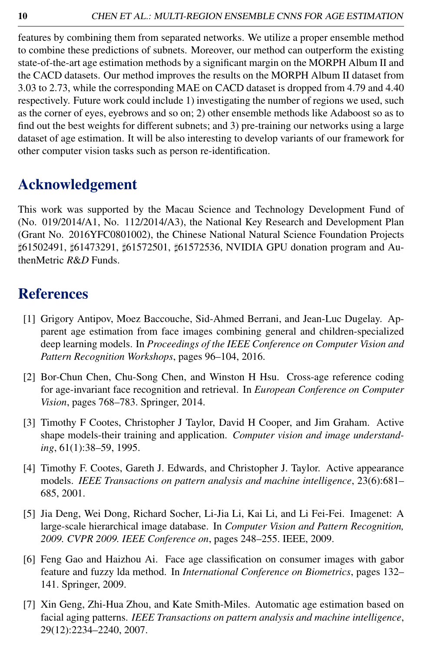features by combining them from separated networks. We utilize a proper ensemble method to combine these predictions of subnets. Moreover, our method can outperform the existing state-of-the-art age estimation methods by a significant margin on the MORPH Album II and the CACD datasets. Our method improves the results on the MORPH Album II dataset from 3.03 to 2.73, while the corresponding MAE on CACD dataset is dropped from 4.79 and 4.40 respectively. Future work could include 1) investigating the number of regions we used, such as the corner of eyes, eyebrows and so on; 2) other ensemble methods like Adaboost so as to find out the best weights for different subnets; and 3) pre-training our networks using a large dataset of age estimation. It will be also interesting to develop variants of our framework for other computer vision tasks such as person re-identification.

## Acknowledgement

This work was supported by the Macau Science and Technology Development Fund of (No. 019/2014/A1, No. 112/2014/A3), the National Key Research and Development Plan (Grant No. 2016YFC0801002), the Chinese National Natural Science Foundation Projects ]61502491, ]61473291, ]61572501, ]61572536, NVIDIA GPU donation program and AuthenMetric *R*&*D* Funds.

## **References**

- [1] Grigory Antipov, Moez Baccouche, Sid-Ahmed Berrani, and Jean-Luc Dugelay. Apparent age estimation from face images combining general and children-specialized deep learning models. In *Proceedings of the IEEE Conference on Computer Vision and Pattern Recognition Workshops*, pages 96–104, 2016.
- [2] Bor-Chun Chen, Chu-Song Chen, and Winston H Hsu. Cross-age reference coding for age-invariant face recognition and retrieval. In *European Conference on Computer Vision*, pages 768–783. Springer, 2014.
- [3] Timothy F Cootes, Christopher J Taylor, David H Cooper, and Jim Graham. Active shape models-their training and application. *Computer vision and image understanding*, 61(1):38–59, 1995.
- [4] Timothy F. Cootes, Gareth J. Edwards, and Christopher J. Taylor. Active appearance models. *IEEE Transactions on pattern analysis and machine intelligence*, 23(6):681– 685, 2001.
- [5] Jia Deng, Wei Dong, Richard Socher, Li-Jia Li, Kai Li, and Li Fei-Fei. Imagenet: A large-scale hierarchical image database. In *Computer Vision and Pattern Recognition, 2009. CVPR 2009. IEEE Conference on*, pages 248–255. IEEE, 2009.
- [6] Feng Gao and Haizhou Ai. Face age classification on consumer images with gabor feature and fuzzy lda method. In *International Conference on Biometrics*, pages 132– 141. Springer, 2009.
- [7] Xin Geng, Zhi-Hua Zhou, and Kate Smith-Miles. Automatic age estimation based on facial aging patterns. *IEEE Transactions on pattern analysis and machine intelligence*, 29(12):2234–2240, 2007.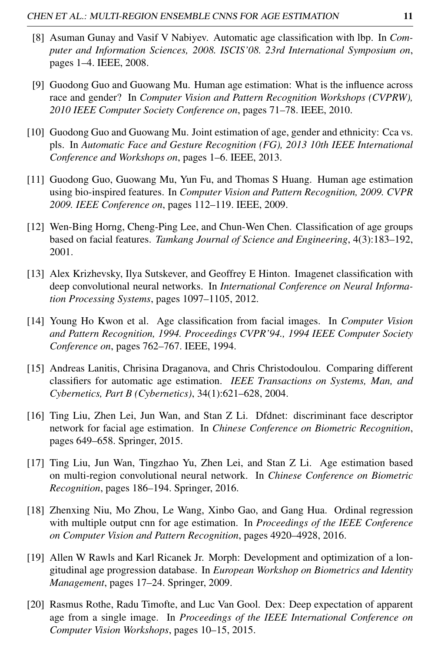- [8] Asuman Gunay and Vasif V Nabiyev. Automatic age classification with lbp. In *Computer and Information Sciences, 2008. ISCIS'08. 23rd International Symposium on*, pages 1–4. IEEE, 2008.
- [9] Guodong Guo and Guowang Mu. Human age estimation: What is the influence across race and gender? In *Computer Vision and Pattern Recognition Workshops (CVPRW), 2010 IEEE Computer Society Conference on*, pages 71–78. IEEE, 2010.
- [10] Guodong Guo and Guowang Mu. Joint estimation of age, gender and ethnicity: Cca vs. pls. In *Automatic Face and Gesture Recognition (FG), 2013 10th IEEE International Conference and Workshops on*, pages 1–6. IEEE, 2013.
- [11] Guodong Guo, Guowang Mu, Yun Fu, and Thomas S Huang. Human age estimation using bio-inspired features. In *Computer Vision and Pattern Recognition, 2009. CVPR 2009. IEEE Conference on*, pages 112–119. IEEE, 2009.
- [12] Wen-Bing Horng, Cheng-Ping Lee, and Chun-Wen Chen. Classification of age groups based on facial features. *Tamkang Journal of Science and Engineering*, 4(3):183–192, 2001.
- [13] Alex Krizhevsky, Ilya Sutskever, and Geoffrey E Hinton. Imagenet classification with deep convolutional neural networks. In *International Conference on Neural Information Processing Systems*, pages 1097–1105, 2012.
- [14] Young Ho Kwon et al. Age classification from facial images. In *Computer Vision and Pattern Recognition, 1994. Proceedings CVPR'94., 1994 IEEE Computer Society Conference on*, pages 762–767. IEEE, 1994.
- [15] Andreas Lanitis, Chrisina Draganova, and Chris Christodoulou. Comparing different classifiers for automatic age estimation. *IEEE Transactions on Systems, Man, and Cybernetics, Part B (Cybernetics)*, 34(1):621–628, 2004.
- [16] Ting Liu, Zhen Lei, Jun Wan, and Stan Z Li. Dfdnet: discriminant face descriptor network for facial age estimation. In *Chinese Conference on Biometric Recognition*, pages 649–658. Springer, 2015.
- [17] Ting Liu, Jun Wan, Tingzhao Yu, Zhen Lei, and Stan Z Li. Age estimation based on multi-region convolutional neural network. In *Chinese Conference on Biometric Recognition*, pages 186–194. Springer, 2016.
- [18] Zhenxing Niu, Mo Zhou, Le Wang, Xinbo Gao, and Gang Hua. Ordinal regression with multiple output cnn for age estimation. In *Proceedings of the IEEE Conference on Computer Vision and Pattern Recognition*, pages 4920–4928, 2016.
- [19] Allen W Rawls and Karl Ricanek Jr. Morph: Development and optimization of a longitudinal age progression database. In *European Workshop on Biometrics and Identity Management*, pages 17–24. Springer, 2009.
- [20] Rasmus Rothe, Radu Timofte, and Luc Van Gool. Dex: Deep expectation of apparent age from a single image. In *Proceedings of the IEEE International Conference on Computer Vision Workshops*, pages 10–15, 2015.